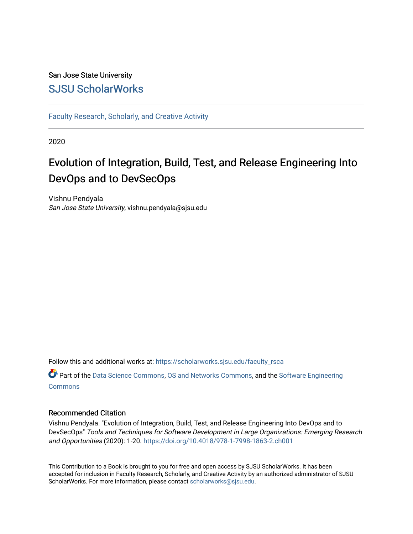## San Jose State University [SJSU ScholarWorks](https://scholarworks.sjsu.edu/)

[Faculty Research, Scholarly, and Creative Activity](https://scholarworks.sjsu.edu/faculty_rsca)

2020

## Evolution of Integration, Build, Test, and Release Engineering Into DevOps and to DevSecOps

Vishnu Pendyala San Jose State University, vishnu.pendyala@sjsu.edu

Follow this and additional works at: [https://scholarworks.sjsu.edu/faculty\\_rsca](https://scholarworks.sjsu.edu/faculty_rsca?utm_source=scholarworks.sjsu.edu%2Ffaculty_rsca%2F569&utm_medium=PDF&utm_campaign=PDFCoverPages) 

Part of the [Data Science Commons,](http://network.bepress.com/hgg/discipline/1429?utm_source=scholarworks.sjsu.edu%2Ffaculty_rsca%2F569&utm_medium=PDF&utm_campaign=PDFCoverPages) [OS and Networks Commons,](http://network.bepress.com/hgg/discipline/149?utm_source=scholarworks.sjsu.edu%2Ffaculty_rsca%2F569&utm_medium=PDF&utm_campaign=PDFCoverPages) and the [Software Engineering](http://network.bepress.com/hgg/discipline/150?utm_source=scholarworks.sjsu.edu%2Ffaculty_rsca%2F569&utm_medium=PDF&utm_campaign=PDFCoverPages)  **[Commons](http://network.bepress.com/hgg/discipline/150?utm_source=scholarworks.sjsu.edu%2Ffaculty_rsca%2F569&utm_medium=PDF&utm_campaign=PDFCoverPages)** 

### Recommended Citation

Vishnu Pendyala. "Evolution of Integration, Build, Test, and Release Engineering Into DevOps and to DevSecOps" Tools and Techniques for Software Development in Large Organizations: Emerging Research and Opportunities (2020): 1-20. <https://doi.org/10.4018/978-1-7998-1863-2.ch001>

This Contribution to a Book is brought to you for free and open access by SJSU ScholarWorks. It has been accepted for inclusion in Faculty Research, Scholarly, and Creative Activity by an authorized administrator of SJSU ScholarWorks. For more information, please contact [scholarworks@sjsu.edu](mailto:scholarworks@sjsu.edu).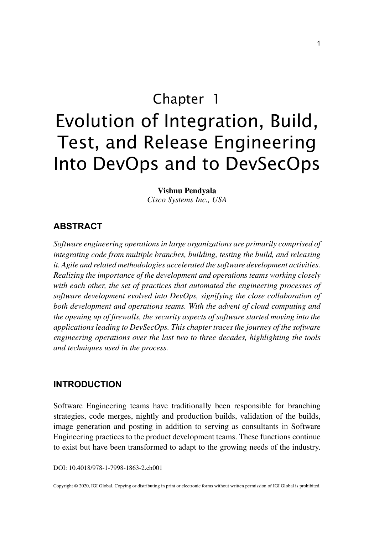Chapter 1

# Evolution of Integration, Build, Test, and Release Engineering Into DevOps and to DevSecOps

#### **Vishnu Pendyala**

*Cisco Systems Inc., USA*

## **ABSTRACT**

*Software engineering operations in large organizations are primarily comprised of integrating code from multiple branches, building, testing the build, and releasing it. Agile and related methodologies accelerated the software development activities. Realizing the importance of the development and operations teams working closely with each other, the set of practices that automated the engineering processes of software development evolved into DevOps, signifying the close collaboration of both development and operations teams. With the advent of cloud computing and the opening up of firewalls, the security aspects of software started moving into the applications leading to DevSecOps. This chapter traces the journey of the software engineering operations over the last two to three decades, highlighting the tools and techniques used in the process.*

#### **INTRODUCTION**

Software Engineering teams have traditionally been responsible for branching strategies, code merges, nightly and production builds, validation of the builds, image generation and posting in addition to serving as consultants in Software Engineering practices to the product development teams. These functions continue to exist but have been transformed to adapt to the growing needs of the industry.

DOI: 10.4018/978-1-7998-1863-2.ch001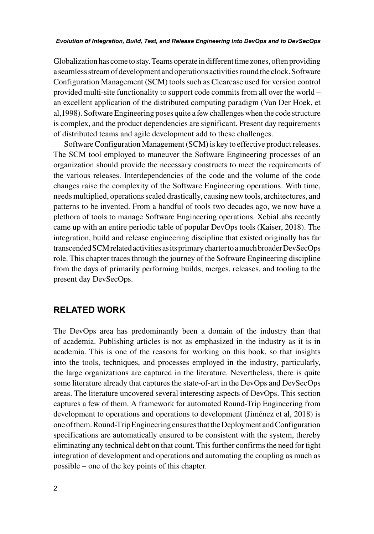Globalization has come to stay. Teams operate in different time zones, often providing a seamless stream of development and operations activities round the clock. Software Configuration Management (SCM) tools such as Clearcase used for version control provided multi-site functionality to support code commits from all over the world – an excellent application of the distributed computing paradigm (Van Der Hoek, et al,1998). Software Engineering poses quite a few challenges when the code structure is complex, and the product dependencies are significant. Present day requirements of distributed teams and agile development add to these challenges.

Software Configuration Management (SCM) is key to effective product releases. The SCM tool employed to maneuver the Software Engineering processes of an organization should provide the necessary constructs to meet the requirements of the various releases. Interdependencies of the code and the volume of the code changes raise the complexity of the Software Engineering operations. With time, needs multiplied, operations scaled drastically, causing new tools, architectures, and patterns to be invented. From a handful of tools two decades ago, we now have a plethora of tools to manage Software Engineering operations. XebiaLabs recently came up with an entire periodic table of popular DevOps tools (Kaiser, 2018). The integration, build and release engineering discipline that existed originally has far transcended SCM related activities as its primary charter to a much broader DevSecOps role. This chapter traces through the journey of the Software Engineering discipline from the days of primarily performing builds, merges, releases, and tooling to the present day DevSecOps.

## **RELATED WORK**

The DevOps area has predominantly been a domain of the industry than that of academia. Publishing articles is not as emphasized in the industry as it is in academia. This is one of the reasons for working on this book, so that insights into the tools, techniques, and processes employed in the industry, particularly, the large organizations are captured in the literature. Nevertheless, there is quite some literature already that captures the state-of-art in the DevOps and DevSecOps areas. The literature uncovered several interesting aspects of DevOps. This section captures a few of them. A framework for automated Round-Trip Engineering from development to operations and operations to development (Jiménez et al, 2018) is one of them. Round-Trip Engineering ensures that the Deployment and Configuration specifications are automatically ensured to be consistent with the system, thereby eliminating any technical debt on that count. This further confirms the need for tight integration of development and operations and automating the coupling as much as possible – one of the key points of this chapter.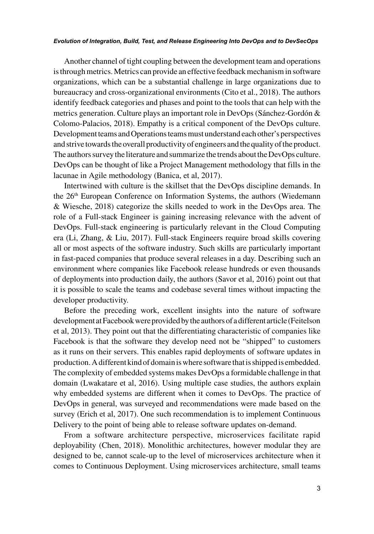Another channel of tight coupling between the development team and operations is through metrics. Metrics can provide an effective feedback mechanism in software organizations, which can be a substantial challenge in large organizations due to bureaucracy and cross-organizational environments (Cito et al., 2018). The authors identify feedback categories and phases and point to the tools that can help with the metrics generation. Culture plays an important role in DevOps (Sánchez-Gordón & Colomo-Palacios, 2018). Empathy is a critical component of the DevOps culture. Development teams and Operations teams must understand each other's perspectives and strive towards the overall productivity of engineers and the quality of the product. The authors survey the literature and summarize the trends about the DevOps culture. DevOps can be thought of like a Project Management methodology that fills in the lacunae in Agile methodology (Banica, et al, 2017).

Intertwined with culture is the skillset that the DevOps discipline demands. In the 26<sup>th</sup> European Conference on Information Systems, the authors (Wiedemann & Wiesche, 2018) categorize the skills needed to work in the DevOps area. The role of a Full-stack Engineer is gaining increasing relevance with the advent of DevOps. Full-stack engineering is particularly relevant in the Cloud Computing era (Li, Zhang, & Liu, 2017). Full-stack Engineers require broad skills covering all or most aspects of the software industry. Such skills are particularly important in fast-paced companies that produce several releases in a day. Describing such an environment where companies like Facebook release hundreds or even thousands of deployments into production daily, the authors (Savor et al, 2016) point out that it is possible to scale the teams and codebase several times without impacting the developer productivity.

Before the preceding work, excellent insights into the nature of software development at Facebook were provided by the authors of a different article (Feitelson et al, 2013). They point out that the differentiating characteristic of companies like Facebook is that the software they develop need not be "shipped" to customers as it runs on their servers. This enables rapid deployments of software updates in production. A different kind of domain is where software that is shipped is embedded. The complexity of embedded systems makes DevOps a formidable challenge in that domain (Lwakatare et al, 2016). Using multiple case studies, the authors explain why embedded systems are different when it comes to DevOps. The practice of DevOps in general, was surveyed and recommendations were made based on the survey (Erich et al, 2017). One such recommendation is to implement Continuous Delivery to the point of being able to release software updates on-demand.

From a software architecture perspective, microservices facilitate rapid deployability (Chen, 2018). Monolithic architectures, however modular they are designed to be, cannot scale-up to the level of microservices architecture when it comes to Continuous Deployment. Using microservices architecture, small teams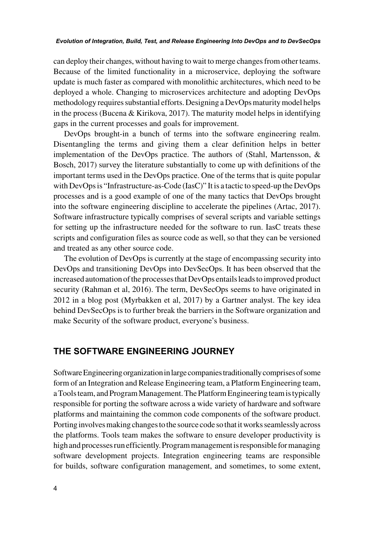can deploy their changes, without having to wait to merge changes from other teams. Because of the limited functionality in a microservice, deploying the software update is much faster as compared with monolithic architectures, which need to be deployed a whole. Changing to microservices architecture and adopting DevOps methodology requires substantial efforts. Designing a DevOps maturity model helps in the process (Bucena & Kirikova, 2017). The maturity model helps in identifying gaps in the current processes and goals for improvement.

DevOps brought-in a bunch of terms into the software engineering realm. Disentangling the terms and giving them a clear definition helps in better implementation of the DevOps practice. The authors of (Stahl, Martensson, & Bosch, 2017) survey the literature substantially to come up with definitions of the important terms used in the DevOps practice. One of the terms that is quite popular with DevOps is "Infrastructure-as-Code (IasC)" It is a tactic to speed-up the DevOps processes and is a good example of one of the many tactics that DevOps brought into the software engineering discipline to accelerate the pipelines (Artac, 2017). Software infrastructure typically comprises of several scripts and variable settings for setting up the infrastructure needed for the software to run. IasC treats these scripts and configuration files as source code as well, so that they can be versioned and treated as any other source code.

The evolution of DevOps is currently at the stage of encompassing security into DevOps and transitioning DevOps into DevSecOps. It has been observed that the increased automation of the processes that DevOps entails leads to improved product security (Rahman et al, 2016). The term, DevSecOps seems to have originated in 2012 in a blog post (Myrbakken et al, 2017) by a Gartner analyst. The key idea behind DevSecOps is to further break the barriers in the Software organization and make Security of the software product, everyone's business.

## **THE SOFTWARE ENGINEERING JOURNEY**

Software Engineering organization in large companies traditionally comprises of some form of an Integration and Release Engineering team, a Platform Engineering team, a Tools team, and Program Management. The Platform Engineering team is typically responsible for porting the software across a wide variety of hardware and software platforms and maintaining the common code components of the software product. Porting involves making changes to the source code so that it works seamlessly across the platforms. Tools team makes the software to ensure developer productivity is high and processes run efficiently. Program management is responsible for managing software development projects. Integration engineering teams are responsible for builds, software configuration management, and sometimes, to some extent,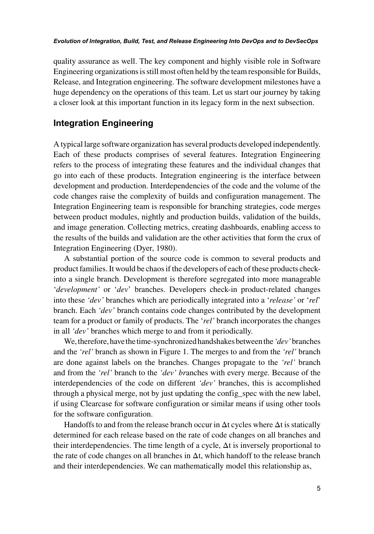quality assurance as well. The key component and highly visible role in Software Engineering organizations is still most often held by the team responsible for Builds, Release, and Integration engineering. The software development milestones have a huge dependency on the operations of this team. Let us start our journey by taking a closer look at this important function in its legacy form in the next subsection.

## **Integration Engineering**

A typical large software organization has several products developed independently. Each of these products comprises of several features. Integration Engineering refers to the process of integrating these features and the individual changes that go into each of these products. Integration engineering is the interface between development and production. Interdependencies of the code and the volume of the code changes raise the complexity of builds and configuration management. The Integration Engineering team is responsible for branching strategies, code merges between product modules, nightly and production builds, validation of the builds, and image generation. Collecting metrics, creating dashboards, enabling access to the results of the builds and validation are the other activities that form the crux of Integration Engineering (Dyer, 1980).

A substantial portion of the source code is common to several products and product families. It would be chaos if the developers of each of these products checkinto a single branch. Development is therefore segregated into more manageable '*development'* or '*dev*' branches. Developers check-in product-related changes into these *'dev'* branches which are periodically integrated into a '*release'* or '*rel*' branch. Each *'dev'* branch contains code changes contributed by the development team for a product or family of products. The '*rel'* branch incorporates the changes in all *'dev'* branches which merge to and from it periodically.

We, therefore, have the time-synchronized handshakes between the *'dev'* branches and the *'rel'* branch as shown in Figure 1. The merges to and from the *'rel'* branch are done against labels on the branches. Changes propagate to the *'rel'* branch and from the *'rel'* branch to the *'dev' br*anches with every merge. Because of the interdependencies of the code on different *'dev'* branches, this is accomplished through a physical merge, not by just updating the config\_spec with the new label, if using Clearcase for software configuration or similar means if using other tools for the software configuration.

Handoffs to and from the release branch occur in  $\Delta t$  cycles where  $\Delta t$  is statically determined for each release based on the rate of code changes on all branches and their interdependencies. The time length of a cycle,  $\Delta t$  is inversely proportional to the rate of code changes on all branches in Δt, which handoff to the release branch and their interdependencies. We can mathematically model this relationship as,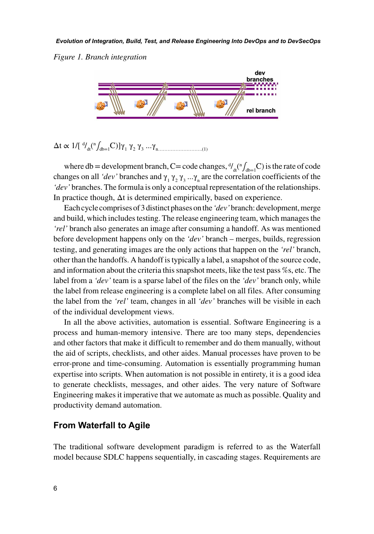



Δt ∝ 1/[ d / dt( n ∫db=1C)]γ1 γ2 γ3 ...γn……………………….(1)

where db = development branch, C= code changes,  $\frac{d}{dt} \left( \int_{ab=1}^{b} C \right)$  is the rate of code changes on all *'dev'* branches and  $\gamma_1 \gamma_2 \gamma_3 ... \gamma_n$  are the correlation coefficients of the *'dev'* branches. The formula is only a conceptual representation of the relationships. In practice though,  $\Delta t$  is determined empirically, based on experience.

Each cycle comprises of 3 distinct phases on the *'dev'* branch: development, merge and build, which includes testing. The release engineering team, which manages the *'rel'* branch also generates an image after consuming a handoff. As was mentioned before development happens only on the *'dev'* branch – merges, builds, regression testing, and generating images are the only actions that happen on the *'rel'* branch, other than the handoffs. A handoff is typically a label, a snapshot of the source code, and information about the criteria this snapshot meets, like the test pass %s, etc. The label from a *'dev'* team is a sparse label of the files on the *'dev'* branch only, while the label from release engineering is a complete label on all files. After consuming the label from the *'rel'* team, changes in all *'dev'* branches will be visible in each of the individual development views.

In all the above activities, automation is essential. Software Engineering is a process and human-memory intensive. There are too many steps, dependencies and other factors that make it difficult to remember and do them manually, without the aid of scripts, checklists, and other aides. Manual processes have proven to be error-prone and time-consuming. Automation is essentially programming human expertise into scripts. When automation is not possible in entirety, it is a good idea to generate checklists, messages, and other aides. The very nature of Software Engineering makes it imperative that we automate as much as possible. Quality and productivity demand automation.

## **From Waterfall to Agile**

The traditional software development paradigm is referred to as the Waterfall model because SDLC happens sequentially, in cascading stages. Requirements are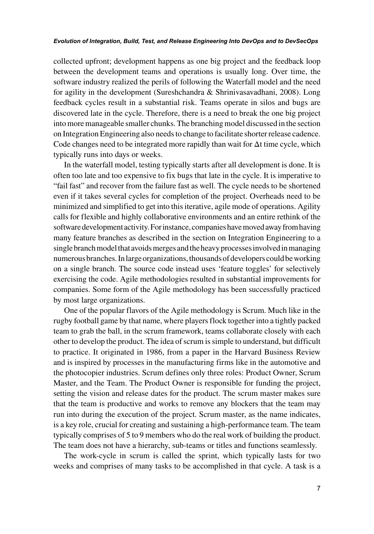collected upfront; development happens as one big project and the feedback loop between the development teams and operations is usually long. Over time, the software industry realized the perils of following the Waterfall model and the need for agility in the development (Sureshchandra & Shrinivasavadhani, 2008). Long feedback cycles result in a substantial risk. Teams operate in silos and bugs are discovered late in the cycle. Therefore, there is a need to break the one big project into more manageable smaller chunks. The branching model discussed in the section on Integration Engineering also needs to change to facilitate shorter release cadence. Code changes need to be integrated more rapidly than wait for Δt time cycle, which typically runs into days or weeks.

In the waterfall model, testing typically starts after all development is done. It is often too late and too expensive to fix bugs that late in the cycle. It is imperative to "fail fast" and recover from the failure fast as well. The cycle needs to be shortened even if it takes several cycles for completion of the project. Overheads need to be minimized and simplified to get into this iterative, agile mode of operations. Agility calls for flexible and highly collaborative environments and an entire rethink of the software development activity. For instance, companies have moved away from having many feature branches as described in the section on Integration Engineering to a single branch model that avoids merges and the heavy processes involved in managing numerous branches. In large organizations, thousands of developers could be working on a single branch. The source code instead uses 'feature toggles' for selectively exercising the code. Agile methodologies resulted in substantial improvements for companies. Some form of the Agile methodology has been successfully practiced by most large organizations.

One of the popular flavors of the Agile methodology is Scrum. Much like in the rugby football game by that name, where players flock together into a tightly packed team to grab the ball, in the scrum framework, teams collaborate closely with each other to develop the product. The idea of scrum is simple to understand, but difficult to practice. It originated in 1986, from a paper in the Harvard Business Review and is inspired by processes in the manufacturing firms like in the automotive and the photocopier industries. Scrum defines only three roles: Product Owner, Scrum Master, and the Team. The Product Owner is responsible for funding the project, setting the vision and release dates for the product. The scrum master makes sure that the team is productive and works to remove any blockers that the team may run into during the execution of the project. Scrum master, as the name indicates, is a key role, crucial for creating and sustaining a high-performance team. The team typically comprises of 5 to 9 members who do the real work of building the product. The team does not have a hierarchy, sub-teams or titles and functions seamlessly.

The work-cycle in scrum is called the sprint, which typically lasts for two weeks and comprises of many tasks to be accomplished in that cycle. A task is a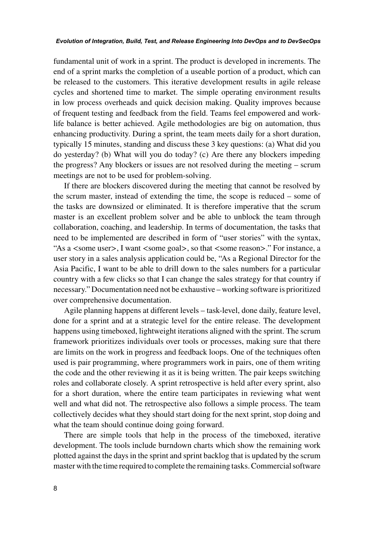fundamental unit of work in a sprint. The product is developed in increments. The end of a sprint marks the completion of a useable portion of a product, which can be released to the customers. This iterative development results in agile release cycles and shortened time to market. The simple operating environment results in low process overheads and quick decision making. Quality improves because of frequent testing and feedback from the field. Teams feel empowered and worklife balance is better achieved. Agile methodologies are big on automation, thus enhancing productivity. During a sprint, the team meets daily for a short duration, typically 15 minutes, standing and discuss these 3 key questions: (a) What did you do yesterday? (b) What will you do today? (c) Are there any blockers impeding the progress? Any blockers or issues are not resolved during the meeting – scrum meetings are not to be used for problem-solving.

If there are blockers discovered during the meeting that cannot be resolved by the scrum master, instead of extending the time, the scope is reduced – some of the tasks are downsized or eliminated. It is therefore imperative that the scrum master is an excellent problem solver and be able to unblock the team through collaboration, coaching, and leadership. In terms of documentation, the tasks that need to be implemented are described in form of "user stories" with the syntax, "As a <some user>, I want <some goal>, so that <some reason>." For instance, a user story in a sales analysis application could be, "As a Regional Director for the Asia Pacific, I want to be able to drill down to the sales numbers for a particular country with a few clicks so that I can change the sales strategy for that country if necessary." Documentation need not be exhaustive – working software is prioritized over comprehensive documentation.

Agile planning happens at different levels – task-level, done daily, feature level, done for a sprint and at a strategic level for the entire release. The development happens using timeboxed, lightweight iterations aligned with the sprint. The scrum framework prioritizes individuals over tools or processes, making sure that there are limits on the work in progress and feedback loops. One of the techniques often used is pair programming, where programmers work in pairs, one of them writing the code and the other reviewing it as it is being written. The pair keeps switching roles and collaborate closely. A sprint retrospective is held after every sprint, also for a short duration, where the entire team participates in reviewing what went well and what did not. The retrospective also follows a simple process. The team collectively decides what they should start doing for the next sprint, stop doing and what the team should continue doing going forward.

There are simple tools that help in the process of the timeboxed, iterative development. The tools include burndown charts which show the remaining work plotted against the days in the sprint and sprint backlog that is updated by the scrum master with the time required to complete the remaining tasks. Commercial software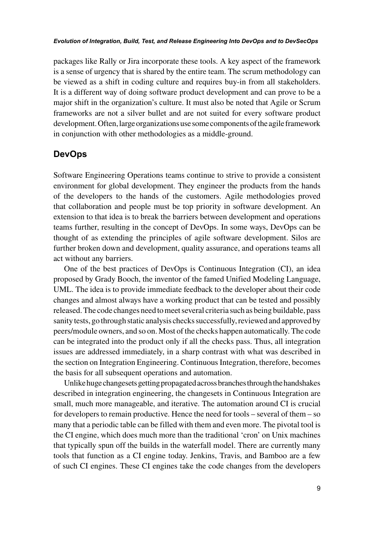packages like Rally or Jira incorporate these tools. A key aspect of the framework is a sense of urgency that is shared by the entire team. The scrum methodology can be viewed as a shift in coding culture and requires buy-in from all stakeholders. It is a different way of doing software product development and can prove to be a major shift in the organization's culture. It must also be noted that Agile or Scrum frameworks are not a silver bullet and are not suited for every software product development. Often, large organizations use some components of the agile framework in conjunction with other methodologies as a middle-ground.

## **DevOps**

Software Engineering Operations teams continue to strive to provide a consistent environment for global development. They engineer the products from the hands of the developers to the hands of the customers. Agile methodologies proved that collaboration and people must be top priority in software development. An extension to that idea is to break the barriers between development and operations teams further, resulting in the concept of DevOps. In some ways, DevOps can be thought of as extending the principles of agile software development. Silos are further broken down and development, quality assurance, and operations teams all act without any barriers.

One of the best practices of DevOps is Continuous Integration (CI), an idea proposed by Grady Booch, the inventor of the famed Unified Modeling Language, UML. The idea is to provide immediate feedback to the developer about their code changes and almost always have a working product that can be tested and possibly released. The code changes need to meet several criteria such as being buildable, pass sanity tests, go through static analysis checks successfully, reviewed and approved by peers/module owners, and so on. Most of the checks happen automatically. The code can be integrated into the product only if all the checks pass. Thus, all integration issues are addressed immediately, in a sharp contrast with what was described in the section on Integration Engineering. Continuous Integration, therefore, becomes the basis for all subsequent operations and automation.

Unlike huge changesets getting propagated across branches through the handshakes described in integration engineering, the changesets in Continuous Integration are small, much more manageable, and iterative. The automation around CI is crucial for developers to remain productive. Hence the need for tools – several of them – so many that a periodic table can be filled with them and even more. The pivotal tool is the CI engine, which does much more than the traditional 'cron' on Unix machines that typically spun off the builds in the waterfall model. There are currently many tools that function as a CI engine today. Jenkins, Travis, and Bamboo are a few of such CI engines. These CI engines take the code changes from the developers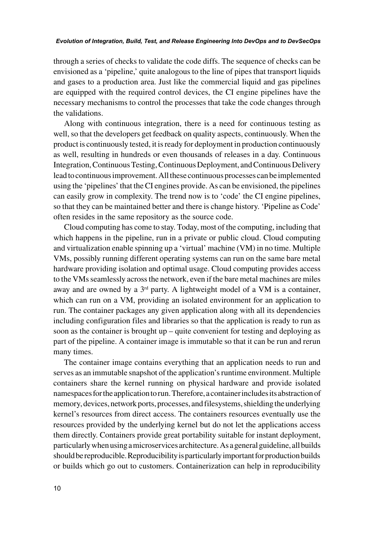through a series of checks to validate the code diffs. The sequence of checks can be envisioned as a 'pipeline,' quite analogous to the line of pipes that transport liquids and gases to a production area. Just like the commercial liquid and gas pipelines are equipped with the required control devices, the CI engine pipelines have the necessary mechanisms to control the processes that take the code changes through the validations.

Along with continuous integration, there is a need for continuous testing as well, so that the developers get feedback on quality aspects, continuously. When the product is continuously tested, it is ready for deployment in production continuously as well, resulting in hundreds or even thousands of releases in a day. Continuous Integration, Continuous Testing, Continuous Deployment, and Continuous Delivery lead to continuous improvement. All these continuous processes can be implemented using the 'pipelines' that the CI engines provide. As can be envisioned, the pipelines can easily grow in complexity. The trend now is to 'code' the CI engine pipelines, so that they can be maintained better and there is change history. 'Pipeline as Code' often resides in the same repository as the source code.

Cloud computing has come to stay. Today, most of the computing, including that which happens in the pipeline, run in a private or public cloud. Cloud computing and virtualization enable spinning up a 'virtual' machine (VM) in no time. Multiple VMs, possibly running different operating systems can run on the same bare metal hardware providing isolation and optimal usage. Cloud computing provides access to the VMs seamlessly across the network, even if the bare metal machines are miles away and are owned by a  $3<sup>rd</sup>$  party. A lightweight model of a VM is a container, which can run on a VM, providing an isolated environment for an application to run. The container packages any given application along with all its dependencies including configuration files and libraries so that the application is ready to run as soon as the container is brought up – quite convenient for testing and deploying as part of the pipeline. A container image is immutable so that it can be run and rerun many times.

The container image contains everything that an application needs to run and serves as an immutable snapshot of the application's runtime environment. Multiple containers share the kernel running on physical hardware and provide isolated namespaces for the application to run. Therefore, a container includes its abstraction of memory, devices, network ports, processes, and filesystems, shielding the underlying kernel's resources from direct access. The containers resources eventually use the resources provided by the underlying kernel but do not let the applications access them directly. Containers provide great portability suitable for instant deployment, particularly when using a microservices architecture. As a general guideline, all builds should be reproducible. Reproducibility is particularly important for production builds or builds which go out to customers. Containerization can help in reproducibility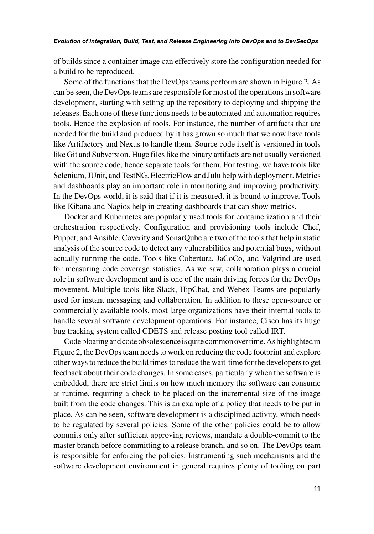of builds since a container image can effectively store the configuration needed for a build to be reproduced.

Some of the functions that the DevOps teams perform are shown in Figure 2. As can be seen, the DevOps teams are responsible for most of the operations in software development, starting with setting up the repository to deploying and shipping the releases. Each one of these functions needs to be automated and automation requires tools. Hence the explosion of tools. For instance, the number of artifacts that are needed for the build and produced by it has grown so much that we now have tools like Artifactory and Nexus to handle them. Source code itself is versioned in tools like Git and Subversion. Huge files like the binary artifacts are not usually versioned with the source code, hence separate tools for them. For testing, we have tools like Selenium, JUnit, and TestNG. ElectricFlow and Julu help with deployment. Metrics and dashboards play an important role in monitoring and improving productivity. In the DevOps world, it is said that if it is measured, it is bound to improve. Tools like Kibana and Nagios help in creating dashboards that can show metrics.

Docker and Kubernetes are popularly used tools for containerization and their orchestration respectively. Configuration and provisioning tools include Chef, Puppet, and Ansible. Coverity and SonarQube are two of the tools that help in static analysis of the source code to detect any vulnerabilities and potential bugs, without actually running the code. Tools like Cobertura, JaCoCo, and Valgrind are used for measuring code coverage statistics. As we saw, collaboration plays a crucial role in software development and is one of the main driving forces for the DevOps movement. Multiple tools like Slack, HipChat, and Webex Teams are popularly used for instant messaging and collaboration. In addition to these open-source or commercially available tools, most large organizations have their internal tools to handle several software development operations. For instance, Cisco has its huge bug tracking system called CDETS and release posting tool called IRT.

Code bloating and code obsolescence is quite common over time. As highlighted in Figure 2, the DevOps team needs to work on reducing the code footprint and explore other ways to reduce the build times to reduce the wait-time for the developers to get feedback about their code changes. In some cases, particularly when the software is embedded, there are strict limits on how much memory the software can consume at runtime, requiring a check to be placed on the incremental size of the image built from the code changes. This is an example of a policy that needs to be put in place. As can be seen, software development is a disciplined activity, which needs to be regulated by several policies. Some of the other policies could be to allow commits only after sufficient approving reviews, mandate a double-commit to the master branch before committing to a release branch, and so on. The DevOps team is responsible for enforcing the policies. Instrumenting such mechanisms and the software development environment in general requires plenty of tooling on part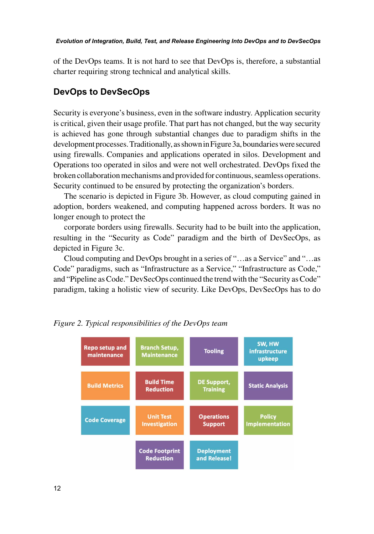of the DevOps teams. It is not hard to see that DevOps is, therefore, a substantial charter requiring strong technical and analytical skills.

## **DevOps to DevSecOps**

Security is everyone's business, even in the software industry. Application security is critical, given their usage profile. That part has not changed, but the way security is achieved has gone through substantial changes due to paradigm shifts in the development processes. Traditionally, as shown in Figure 3a, boundaries were secured using firewalls. Companies and applications operated in silos. Development and Operations too operated in silos and were not well orchestrated. DevOps fixed the broken collaboration mechanisms and provided for continuous, seamless operations. Security continued to be ensured by protecting the organization's borders.

The scenario is depicted in Figure 3b. However, as cloud computing gained in adoption, borders weakened, and computing happened across borders. It was no longer enough to protect the

corporate borders using firewalls. Security had to be built into the application, resulting in the "Security as Code" paradigm and the birth of DevSecOps, as depicted in Figure 3c.

Cloud computing and DevOps brought in a series of "…as a Service" and "…as Code" paradigms, such as "Infrastructure as a Service," "Infrastructure as Code," and "Pipeline as Code." DevSecOps continued the trend with the "Security as Code" paradigm, taking a holistic view of security. Like DevOps, DevSecOps has to do



*Figure 2. Typical responsibilities of the DevOps team*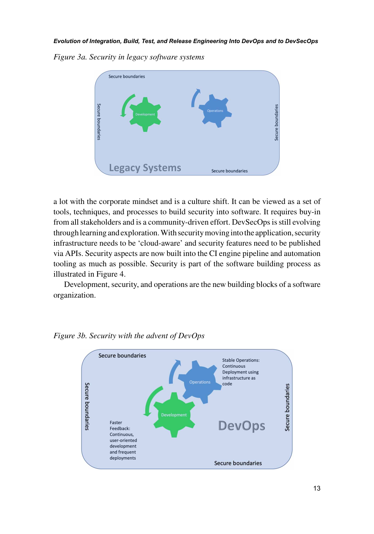*Figure 3a. Security in legacy software systems*



a lot with the corporate mindset and is a culture shift. It can be viewed as a set of tools, techniques, and processes to build security into software. It requires buy-in from all stakeholders and is a community-driven effort. DevSecOps is still evolving through learning and exploration. With security moving into the application, security infrastructure needs to be 'cloud-aware' and security features need to be published via APIs. Security aspects are now built into the CI engine pipeline and automation tooling as much as possible. Security is part of the software building process as illustrated in Figure 4.

Development, security, and operations are the new building blocks of a software organization.



*Figure 3b. Security with the advent of DevOps*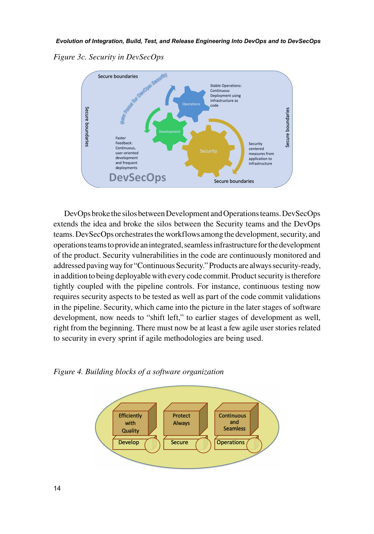*Figure 3c. Security in DevSecOps*



DevOps broke the silos between Development and Operations teams. DevSecOps extends the idea and broke the silos between the Security teams and the DevOps teams. DevSecOps orchestrates the workflows among the development, security, and operations teams to provide an integrated, seamless infrastructure for the development of the product. Security vulnerabilities in the code are continuously monitored and addressed paving way for "Continuous Security." Products are always security-ready, in addition to being deployable with every code commit. Product security is therefore tightly coupled with the pipeline controls. For instance, continuous testing now requires security aspects to be tested as well as part of the code commit validations in the pipeline. Security, which came into the picture in the later stages of software development, now needs to "shift left," to earlier stages of development as well, right from the beginning. There must now be at least a few agile user stories related to security in every sprint if agile methodologies are being used.

*Figure 4. Building blocks of a software organization*

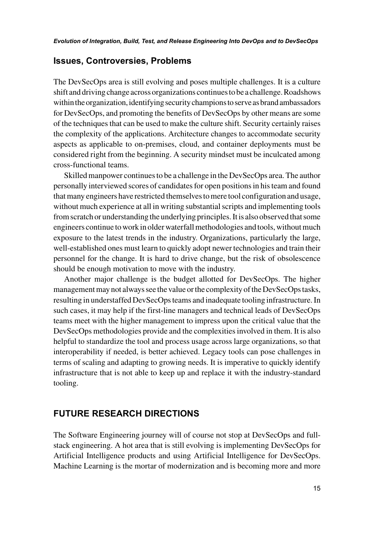#### **Issues, Controversies, Problems**

The DevSecOps area is still evolving and poses multiple challenges. It is a culture shift and driving change across organizations continues to be a challenge. Roadshows within the organization, identifying security champions to serve as brand ambassadors for DevSecOps, and promoting the benefits of DevSecOps by other means are some of the techniques that can be used to make the culture shift. Security certainly raises the complexity of the applications. Architecture changes to accommodate security aspects as applicable to on-premises, cloud, and container deployments must be considered right from the beginning. A security mindset must be inculcated among cross-functional teams.

Skilled manpower continues to be a challenge in the DevSecOps area. The author personally interviewed scores of candidates for open positions in his team and found that many engineers have restricted themselves to mere tool configuration and usage, without much experience at all in writing substantial scripts and implementing tools from scratch or understanding the underlying principles. It is also observed that some engineers continue to work in older waterfall methodologies and tools, without much exposure to the latest trends in the industry. Organizations, particularly the large, well-established ones must learn to quickly adopt newer technologies and train their personnel for the change. It is hard to drive change, but the risk of obsolescence should be enough motivation to move with the industry.

Another major challenge is the budget allotted for DevSecOps. The higher management may not always see the value or the complexity of the DevSecOps tasks, resulting in understaffed DevSecOps teams and inadequate tooling infrastructure. In such cases, it may help if the first-line managers and technical leads of DevSecOps teams meet with the higher management to impress upon the critical value that the DevSecOps methodologies provide and the complexities involved in them. It is also helpful to standardize the tool and process usage across large organizations, so that interoperability if needed, is better achieved. Legacy tools can pose challenges in terms of scaling and adapting to growing needs. It is imperative to quickly identify infrastructure that is not able to keep up and replace it with the industry-standard tooling.

## **FUTURE RESEARCH DIRECTIONS**

The Software Engineering journey will of course not stop at DevSecOps and fullstack engineering. A hot area that is still evolving is implementing DevSecOps for Artificial Intelligence products and using Artificial Intelligence for DevSecOps. Machine Learning is the mortar of modernization and is becoming more and more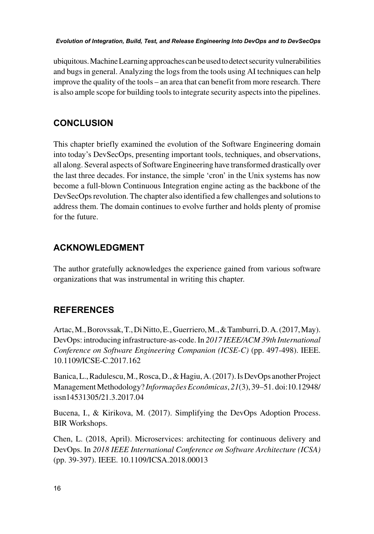ubiquitous. Machine Learning approaches can be used to detect security vulnerabilities and bugs in general. Analyzing the logs from the tools using AI techniques can help improve the quality of the tools – an area that can benefit from more research. There is also ample scope for building tools to integrate security aspects into the pipelines.

## **CONCLUSION**

This chapter briefly examined the evolution of the Software Engineering domain into today's DevSecOps, presenting important tools, techniques, and observations, all along. Several aspects of Software Engineering have transformed drastically over the last three decades. For instance, the simple 'cron' in the Unix systems has now become a full-blown Continuous Integration engine acting as the backbone of the DevSecOps revolution. The chapter also identified a few challenges and solutions to address them. The domain continues to evolve further and holds plenty of promise for the future.

## **ACKNOWLEDGMENT**

The author gratefully acknowledges the experience gained from various software organizations that was instrumental in writing this chapter.

## **REFERENCES**

Artac, M., Borovssak, T., Di Nitto, E., Guerriero, M., & Tamburri, D. A. (2017, May). DevOps: introducing infrastructure-as-code. In *2017 IEEE/ACM 39th International Conference on Software Engineering Companion (ICSE-C)* (pp. 497-498). IEEE. 10.1109/ICSE-C.2017.162

Banica, L., Radulescu, M., Rosca, D., & Hagiu, A. (2017). Is DevOps another Project Management Methodology? *Informações Econômicas*, *21*(3), 39–51. doi:10.12948/ issn14531305/21.3.2017.04

Bucena, I., & Kirikova, M. (2017). Simplifying the DevOps Adoption Process. BIR Workshops.

Chen, L. (2018, April). Microservices: architecting for continuous delivery and DevOps. In *2018 IEEE International Conference on Software Architecture (ICSA)* (pp. 39-397). IEEE. 10.1109/ICSA.2018.00013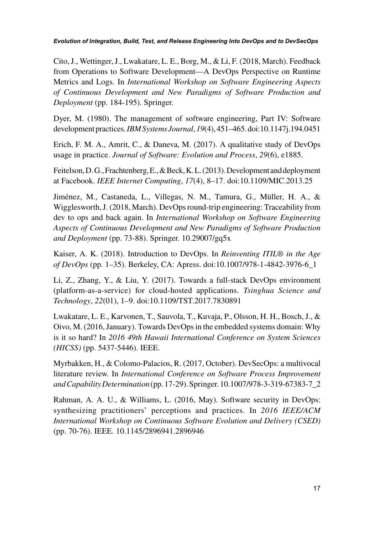Cito, J., Wettinger, J., Lwakatare, L. E., Borg, M., & Li, F. (2018, March). Feedback from Operations to Software Development—A DevOps Perspective on Runtime Metrics and Logs. In *International Workshop on Software Engineering Aspects of Continuous Development and New Paradigms of Software Production and Deployment* (pp. 184-195). Springer.

Dyer, M. (1980). The management of software engineering, Part IV: Software development practices. *IBM Systems Journal*, *19*(4), 451–465. doi:10.1147j.194.0451

Erich, F. M. A., Amrit, C., & Daneva, M. (2017). A qualitative study of DevOps usage in practice. *Journal of Software: Evolution and Process*, *29*(6), e1885.

Feitelson, D. G., Frachtenberg, E., & Beck, K. L. (2013). Development and deployment at Facebook. *IEEE Internet Computing*, *17*(4), 8–17. doi:10.1109/MIC.2013.25

Jiménez, M., Castaneda, L., Villegas, N. M., Tamura, G., Müller, H. A., & Wigglesworth, J. (2018, March). DevOps round-trip engineering: Traceability from dev to ops and back again. In *International Workshop on Software Engineering Aspects of Continuous Development and New Paradigms of Software Production and Deployment* (pp. 73-88). Springer. 10.29007/gq5x

Kaiser, A. K. (2018). Introduction to DevOps. In *Reinventing ITIL® in the Age of DevOps* (pp. 1–35). Berkeley, CA: Apress. doi:10.1007/978-1-4842-3976-6\_1

Li, Z., Zhang, Y., & Liu, Y. (2017). Towards a full-stack DevOps environment (platform-as-a-service) for cloud-hosted applications. *Tsinghua Science and Technology*, *22*(01), 1–9. doi:10.1109/TST.2017.7830891

Lwakatare, L. E., Karvonen, T., Sauvola, T., Kuvaja, P., Olsson, H. H., Bosch, J., & Oivo, M. (2016, January). Towards DevOps in the embedded systems domain: Why is it so hard? In *2016 49th Hawaii International Conference on System Sciences (HICSS)* (pp. 5437-5446). IEEE.

Myrbakken, H., & Colomo-Palacios, R. (2017, October). DevSecOps: a multivocal literature review. In *International Conference on Software Process Improvement and Capability Determination* (pp. 17-29). Springer. 10.1007/978-3-319-67383-7\_2

Rahman, A. A. U., & Williams, L. (2016, May). Software security in DevOps: synthesizing practitioners' perceptions and practices. In *2016 IEEE/ACM International Workshop on Continuous Software Evolution and Delivery (CSED)* (pp. 70-76). IEEE. 10.1145/2896941.2896946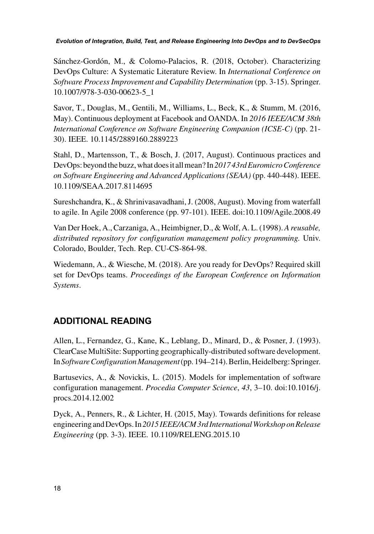Sánchez-Gordón, M., & Colomo-Palacios, R. (2018, October). Characterizing DevOps Culture: A Systematic Literature Review. In *International Conference on Software Process Improvement and Capability Determination* (pp. 3-15). Springer. 10.1007/978-3-030-00623-5\_1

Savor, T., Douglas, M., Gentili, M., Williams, L., Beck, K., & Stumm, M. (2016, May). Continuous deployment at Facebook and OANDA. In *2016 IEEE/ACM 38th International Conference on Software Engineering Companion (ICSE-C)* (pp. 21- 30). IEEE. 10.1145/2889160.2889223

Stahl, D., Martensson, T., & Bosch, J. (2017, August). Continuous practices and DevOps: beyond the buzz, what does it all mean? In *2017 43rd Euromicro Conference on Software Engineering and Advanced Applications (SEAA)* (pp. 440-448). IEEE. 10.1109/SEAA.2017.8114695

Sureshchandra, K., & Shrinivasavadhani, J. (2008, August). Moving from waterfall to agile. In Agile 2008 conference (pp. 97-101). IEEE. doi:10.1109/Agile.2008.49

Van Der Hoek, A., Carzaniga, A., Heimbigner, D., & Wolf, A. L. (1998). *A reusable, distributed repository for configuration management policy programming.* Univ. Colorado, Boulder, Tech. Rep. CU-CS-864-98.

Wiedemann, A., & Wiesche, M. (2018). Are you ready for DevOps? Required skill set for DevOps teams. *Proceedings of the European Conference on Information Systems*.

## **ADDITIONAL READING**

Allen, L., Fernandez, G., Kane, K., Leblang, D., Minard, D., & Posner, J. (1993). ClearCase MultiSite: Supporting geographically-distributed software development. In *Software Configuration Management* (pp. 194–214). Berlin, Heidelberg: Springer.

Bartusevics, A., & Novickis, L. (2015). Models for implementation of software configuration management. *Procedia Computer Science*, *43*, 3–10. doi:10.1016/j. procs.2014.12.002

Dyck, A., Penners, R., & Lichter, H. (2015, May). Towards definitions for release engineering and DevOps. In *2015 IEEE/ACM 3rd International Workshop on Release Engineering* (pp. 3-3). IEEE. 10.1109/RELENG.2015.10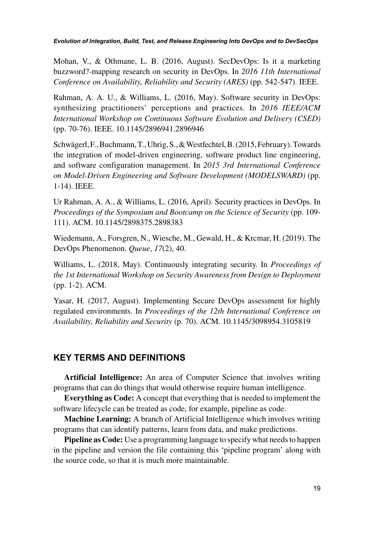Mohan, V., & Othmane, L. B. (2016, August). SecDevOps: Is it a marketing buzzword?-mapping research on security in DevOps. In *2016 11th International Conference on Availability, Reliability and Security (ARES)* (pp. 542-547). IEEE.

Rahman, A. A. U., & Williams, L. (2016, May). Software security in DevOps: synthesizing practitioners' perceptions and practices. In *2016 IEEE/ACM International Workshop on Continuous Software Evolution and Delivery (CSED)* (pp. 70-76). IEEE. 10.1145/2896941.2896946

Schwägerl, F., Buchmann, T., Uhrig, S., & Westfechtel, B. (2015, February). Towards the integration of model-driven engineering, software product line engineering, and software configuration management. In *2015 3rd International Conference on Model-Driven Engineering and Software Development (MODELSWARD)* (pp. 1-14). IEEE.

Ur Rahman, A. A., & Williams, L. (2016, April). Security practices in DevOps. In *Proceedings of the Symposium and Bootcamp on the Science of Security* (pp. 109- 111). ACM. 10.1145/2898375.2898383

Wiedemann, A., Forsgren, N., Wiesche, M., Gewald, H., & Krcmar, H. (2019). The DevOps Phenomenon. *Queue*, *17*(2), 40.

Williams, L. (2018, May). Continuously integrating security. In *Proceedings of the 1st International Workshop on Security Awareness from Design to Deployment* (pp. 1-2). ACM.

Yasar, H. (2017, August). Implementing Secure DevOps assessment for highly regulated environments. In *Proceedings of the 12th International Conference on Availability, Reliability and Security* (p. 70). ACM. 10.1145/3098954.3105819

## **KEY TERMS AND DEFINITIONS**

**Artificial Intelligence:** An area of Computer Science that involves writing programs that can do things that would otherwise require human intelligence.

**Everything as Code:** A concept that everything that is needed to implement the software lifecycle can be treated as code, for example, pipeline as code.

**Machine Learning:** A branch of Artificial Intelligence which involves writing programs that can identify patterns, learn from data, and make predictions.

**Pipeline as Code:** Use a programming language to specify what needs to happen in the pipeline and version the file containing this 'pipeline program' along with the source code, so that it is much more maintainable.